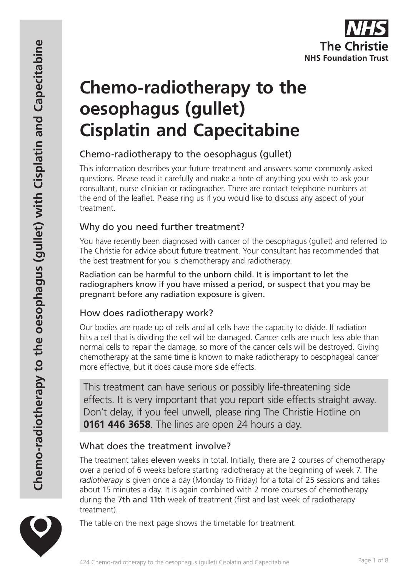

# **Chemo-radiotherapy to the oesophagus (gullet) Cisplatin and Capecitabine**

## Chemo-radiotherapy to the oesophagus (gullet)

This information describes your future treatment and answers some commonly asked questions. Please read it carefully and make a note of anything you wish to ask your consultant, nurse clinician or radiographer. There are contact telephone numbers at the end of the leaflet. Please ring us if you would like to discuss any aspect of your treatment.

### Why do you need further treatment?

You have recently been diagnosed with cancer of the oesophagus (gullet) and referred to The Christie for advice about future treatment. Your consultant has recommended that the best treatment for you is chemotherapy and radiotherapy.

Radiation can be harmful to the unborn child. It is important to let the radiographers know if you have missed a period, or suspect that you may be pregnant before any radiation exposure is given.

### How does radiotherapy work?

Our bodies are made up of cells and all cells have the capacity to divide. If radiation hits a cell that is dividing the cell will be damaged. Cancer cells are much less able than normal cells to repair the damage, so more of the cancer cells will be destroyed. Giving chemotherapy at the same time is known to make radiotherapy to oesophageal cancer more effective, but it does cause more side effects.

This treatment can have serious or possibly life-threatening side effects. It is very important that you report side effects straight away. Don't delay, if you feel unwell, please ring The Christie Hotline on **0161 446 3658**. The lines are open 24 hours a day.

### What does the treatment involve?

The treatment takes eleven weeks in total. Initially, there are 2 courses of chemotherapy over a period of 6 weeks before starting radiotherapy at the beginning of week 7. The *radiotherapy* is given once a day (Monday to Friday) for a total of 25 sessions and takes about 15 minutes a day. It is again combined with 2 more courses of chemotherapy during the 7th and 11th week of treatment (first and last week of radiotherapy treatment).



The table on the next page shows the timetable for treatment.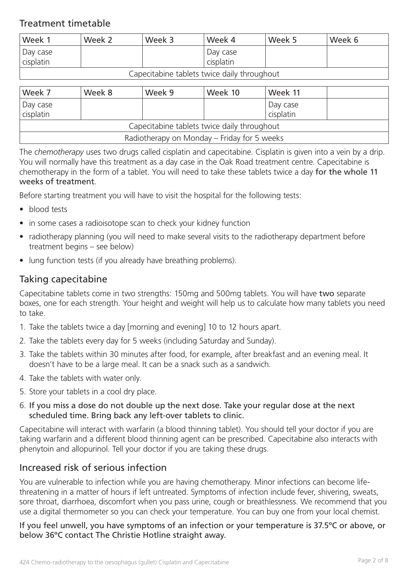### Treatment timetable

| Week 1    | Week 2 | Week 3 | Week 4    | Week 5 | Week 6 |
|-----------|--------|--------|-----------|--------|--------|
| Day case  |        |        | Day case  |        |        |
| cisplatin |        |        | cisplatin |        |        |

#### Capecitabine tablets twice daily throughout

| Week 7                                      | Week 8 | Week 9 | Week 10 | Week 11               |  |  |  |
|---------------------------------------------|--------|--------|---------|-----------------------|--|--|--|
| Day case<br>cisplatin                       |        |        |         | Day case<br>cisplatin |  |  |  |
| Capecitabine tablets twice daily throughout |        |        |         |                       |  |  |  |
| Radiotherapy on Monday - Friday for 5 weeks |        |        |         |                       |  |  |  |

The *chemotherapy* uses two drugs called cisplatin and capecitabine. Cisplatin is given into a vein by a drip. You will normally have this treatment as a day case in the Oak Road treatment centre. Capecitabine is chemotherapy in the form of a tablet. You will need to take these tablets twice a day for the whole 11 weeks of treatment.

Before starting treatment you will have to visit the hospital for the following tests:

- blood tests
- in some cases a radioisotope scan to check your kidney function
- radiotherapy planning (you will need to make several visits to the radiotherapy department before treatment begins – see below)
- lung function tests (if you already have breathing problems).

### Taking capecitabine

Capecitabine tablets come in two strengths: 150mg and 500mg tablets. You will have two separate boxes, one for each strength. Your height and weight will help us to calculate how many tablets you need to take.

- 1. Take the tablets twice a day [morning and evening] 10 to 12 hours apart.
- 2. Take the tablets every day for 5 weeks (including Saturday and Sunday).
- 3. Take the tablets within 30 minutes after food, for example, after breakfast and an evening meal. It doesn't have to be a large meal. It can be a snack such as a sandwich.
- 4. Take the tablets with water only.
- 5. Store your tablets in a cool dry place.
- 6. If you miss a dose do not double up the next dose. Take your regular dose at the next scheduled time. Bring back any left-over tablets to clinic.

Capecitabine will interact with warfarin (a blood thinning tablet). You should tell your doctor if you are taking warfarin and a different blood thinning agent can be prescribed. Capecitabine also interacts with phenytoin and allopurinol. Tell your doctor if you are taking these drugs.

### Increased risk of serious infection

You are vulnerable to infection while you are having chemotherapy. Minor infections can become lifethreatening in a matter of hours if left untreated. Symptoms of infection include fever, shivering, sweats, sore throat, diarrhoea, discomfort when you pass urine, cough or breathlessness. We recommend that you use a digital thermometer so you can check your temperature. You can buy one from your local chemist.

If you feel unwell, you have symptoms of an infection or your temperature is 37.5ºC or above, or below 36ºC contact The Christie Hotline straight away.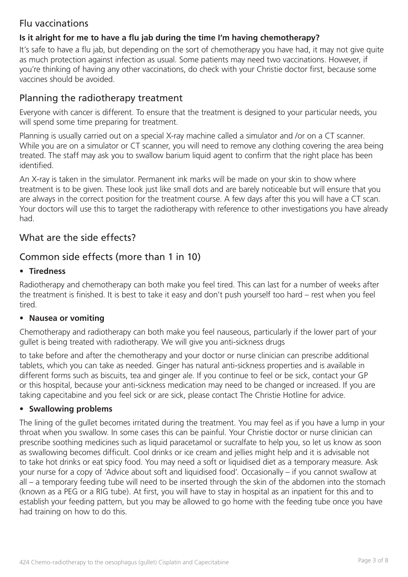### Flu vaccinations

### **Is it alright for me to have a flu jab during the time I'm having chemotherapy?**

It's safe to have a flu jab, but depending on the sort of chemotherapy you have had, it may not give quite as much protection against infection as usual. Some patients may need two vaccinations. However, if you're thinking of having any other vaccinations, do check with your Christie doctor first, because some vaccines should be avoided.

### Planning the radiotherapy treatment

Everyone with cancer is different. To ensure that the treatment is designed to your particular needs, you will spend some time preparing for treatment.

Planning is usually carried out on a special X-ray machine called a simulator and /or on a CT scanner. While you are on a simulator or CT scanner, you will need to remove any clothing covering the area being treated. The staff may ask you to swallow barium liquid agent to confirm that the right place has been identified.

An X-ray is taken in the simulator. Permanent ink marks will be made on your skin to show where treatment is to be given. These look just like small dots and are barely noticeable but will ensure that you are always in the correct position for the treatment course. A few days after this you will have a CT scan. Your doctors will use this to target the radiotherapy with reference to other investigations you have already had.

### What are the side effects?

### Common side effects (more than 1 in 10)

#### • **Tiredness**

Radiotherapy and chemotherapy can both make you feel tired. This can last for a number of weeks after the treatment is finished. It is best to take it easy and don't push yourself too hard – rest when you feel tired.

#### • **Nausea or vomiting**

Chemotherapy and radiotherapy can both make you feel nauseous, particularly if the lower part of your gullet is being treated with radiotherapy. We will give you anti-sickness drugs

to take before and after the chemotherapy and your doctor or nurse clinician can prescribe additional tablets, which you can take as needed. Ginger has natural anti-sickness properties and is available in different forms such as biscuits, tea and ginger ale. If you continue to feel or be sick, contact your GP or this hospital, because your anti-sickness medication may need to be changed or increased. If you are taking capecitabine and you feel sick or are sick, please contact The Christie Hotline for advice.

#### • **Swallowing problems**

The lining of the gullet becomes irritated during the treatment. You may feel as if you have a lump in your throat when you swallow. In some cases this can be painful. Your Christie doctor or nurse clinician can prescribe soothing medicines such as liquid paracetamol or sucralfate to help you, so let us know as soon as swallowing becomes difficult. Cool drinks or ice cream and jellies might help and it is advisable not to take hot drinks or eat spicy food. You may need a soft or liquidised diet as a temporary measure. Ask your nurse for a copy of 'Advice about soft and liquidised food'. Occasionally – if you cannot swallow at all – a temporary feeding tube will need to be inserted through the skin of the abdomen into the stomach (known as a PEG or a RIG tube). At first, you will have to stay in hospital as an inpatient for this and to establish your feeding pattern, but you may be allowed to go home with the feeding tube once you have had training on how to do this.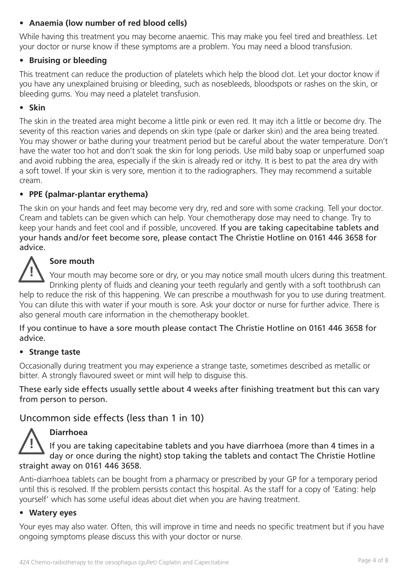#### • **Anaemia (low number of red blood cells)**

While having this treatment you may become anaemic. This may make you feel tired and breathless. Let your doctor or nurse know if these symptoms are a problem. You may need a blood transfusion.

#### • **Bruising or bleeding**

This treatment can reduce the production of platelets which help the blood clot. Let your doctor know if you have any unexplained bruising or bleeding, such as nosebleeds, bloodspots or rashes on the skin, or bleeding gums. You may need a platelet transfusion.

#### • **Skin**

The skin in the treated area might become a little pink or even red. It may itch a little or become dry. The severity of this reaction varies and depends on skin type (pale or darker skin) and the area being treated. You may shower or bathe during your treatment period but be careful about the water temperature. Don't have the water too hot and don't soak the skin for long periods. Use mild baby soap or unperfumed soap and avoid rubbing the area, especially if the skin is already red or itchy. It is best to pat the area dry with a soft towel. If your skin is very sore, mention it to the radiographers. They may recommend a suitable cream.

#### • **PPE (palmar-plantar erythema)**

The skin on your hands and feet may become very dry, red and sore with some cracking. Tell your doctor. Cream and tablets can be given which can help. Your chemotherapy dose may need to change. Try to keep your hands and feet cool and if possible, uncovered. If you are taking capecitabine tablets and your hands and/or feet become sore, please contact The Christie Hotline on 0161 446 3658 for advice.

### **Sore mouth**

Your mouth may become sore or dry, or you may notice small mouth ulcers during this treatment. Drinking plenty of fluids and cleaning your teeth regularly and gently with a soft toothbrush can

help to reduce the risk of this happening. We can prescribe a mouthwash for you to use during treatment. You can dilute this with water if your mouth is sore. Ask your doctor or nurse for further advice. There is also general mouth care information in the chemotherapy booklet.

If you continue to have a sore mouth please contact The Christie Hotline on 0161 446 3658 for advice.

#### • **Strange taste**

Occasionally during treatment you may experience a strange taste, sometimes described as metallic or bitter. A strongly flavoured sweet or mint will help to disguise this.

These early side effects usually settle about 4 weeks after finishing treatment but this can vary from person to person.

Uncommon side effects (less than 1 in 10)



**!**

#### **Diarrhoea**

If you are taking capecitabine tablets and you have diarrhoea (more than 4 times in a day or once during the night) stop taking the tablets and contact The Christie Hotline straight away on 0161 446 3658.

Anti-diarrhoea tablets can be bought from a pharmacy or prescribed by your GP for a temporary period until this is resolved. If the problem persists contact this hospital. As the staff for a copy of 'Eating: help yourself' which has some useful ideas about diet when you are having treatment.

#### • **Watery eyes**

Your eyes may also water. Often, this will improve in time and needs no specific treatment but if you have ongoing symptoms please discuss this with your doctor or nurse.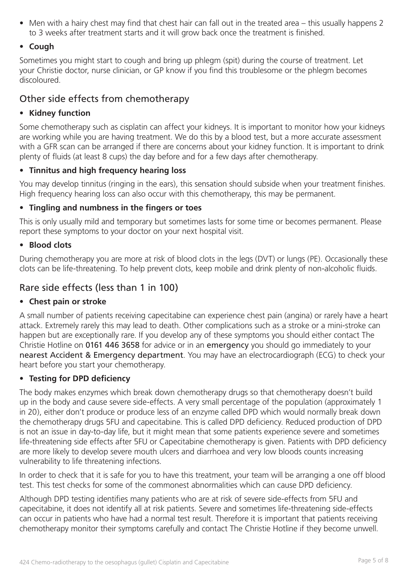• Men with a hairy chest may find that chest hair can fall out in the treated area – this usually happens 2 to 3 weeks after treatment starts and it will grow back once the treatment is finished.

#### • **Cough**

Sometimes you might start to cough and bring up phlegm (spit) during the course of treatment. Let your Christie doctor, nurse clinician, or GP know if you find this troublesome or the phlegm becomes discoloured.

### Other side effects from chemotherapy

#### • **Kidney function**

Some chemotherapy such as cisplatin can affect your kidneys. It is important to monitor how your kidneys are working while you are having treatment. We do this by a blood test, but a more accurate assessment with a GFR scan can be arranged if there are concerns about your kidney function. It is important to drink plenty of fluids (at least 8 cups) the day before and for a few days after chemotherapy.

#### • **Tinnitus and high frequency hearing loss**

You may develop tinnitus (ringing in the ears), this sensation should subside when your treatment finishes. High frequency hearing loss can also occur with this chemotherapy, this may be permanent.

#### • **Tingling and numbness in the fingers or toes**

This is only usually mild and temporary but sometimes lasts for some time or becomes permanent. Please report these symptoms to your doctor on your next hospital visit.

#### • **Blood clots**

During chemotherapy you are more at risk of blood clots in the legs (DVT) or lungs (PE). Occasionally these clots can be life-threatening. To help prevent clots, keep mobile and drink plenty of non-alcoholic fluids.

### Rare side effects (less than 1 in 100)

#### • **Chest pain or stroke**

A small number of patients receiving capecitabine can experience chest pain (angina) or rarely have a heart attack. Extremely rarely this may lead to death. Other complications such as a stroke or a mini-stroke can happen but are exceptionally rare. If you develop any of these symptoms you should either contact The Christie Hotline on 0161 446 3658 for advice or in an emergency you should go immediately to your nearest Accident & Emergency department. You may have an electrocardiograph (ECG) to check your heart before you start your chemotherapy.

#### • **Testing for DPD deficiency**

The body makes enzymes which break down chemotherapy drugs so that chemotherapy doesn't build up in the body and cause severe side-effects. A very small percentage of the population (approximately 1 in 20), either don't produce or produce less of an enzyme called DPD which would normally break down the chemotherapy drugs 5FU and capecitabine. This is called DPD deficiency. Reduced production of DPD is not an issue in day-to-day life, but it might mean that some patients experience severe and sometimes life-threatening side effects after 5FU or Capecitabine chemotherapy is given. Patients with DPD deficiency are more likely to develop severe mouth ulcers and diarrhoea and very low bloods counts increasing vulnerability to life threatening infections.

In order to check that it is safe for you to have this treatment, your team will be arranging a one off blood test. This test checks for some of the commonest abnormalities which can cause DPD deficiency.

Although DPD testing identifies many patients who are at risk of severe side-effects from 5FU and capecitabine, it does not identify all at risk patients. Severe and sometimes life-threatening side-effects can occur in patients who have had a normal test result. Therefore it is important that patients receiving chemotherapy monitor their symptoms carefully and contact The Christie Hotline if they become unwell.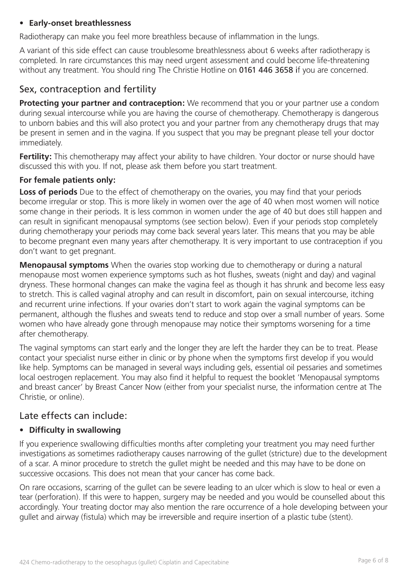#### • **Early-onset breathlessness**

Radiotherapy can make you feel more breathless because of inflammation in the lungs.

A variant of this side effect can cause troublesome breathlessness about 6 weeks after radiotherapy is completed. In rare circumstances this may need urgent assessment and could become life-threatening without any treatment. You should ring The Christie Hotline on 0161 446 3658 if you are concerned.

### Sex, contraception and fertility

**Protecting your partner and contraception:** We recommend that you or your partner use a condom during sexual intercourse while you are having the course of chemotherapy. Chemotherapy is dangerous to unborn babies and this will also protect you and your partner from any chemotherapy drugs that may be present in semen and in the vagina. If you suspect that you may be pregnant please tell your doctor immediately.

Fertility: This chemotherapy may affect your ability to have children. Your doctor or nurse should have discussed this with you. If not, please ask them before you start treatment.

#### **For female patients only:**

**Loss of periods** Due to the effect of chemotherapy on the ovaries, you may find that your periods become irregular or stop. This is more likely in women over the age of 40 when most women will notice some change in their periods. It is less common in women under the age of 40 but does still happen and can result in significant menopausal symptoms (see section below). Even if your periods stop completely during chemotherapy your periods may come back several years later. This means that you may be able to become pregnant even many years after chemotherapy. It is very important to use contraception if you don't want to get pregnant.

**Menopausal symptoms** When the ovaries stop working due to chemotherapy or during a natural menopause most women experience symptoms such as hot flushes, sweats (night and day) and vaginal dryness. These hormonal changes can make the vagina feel as though it has shrunk and become less easy to stretch. This is called vaginal atrophy and can result in discomfort, pain on sexual intercourse, itching and recurrent urine infections. If your ovaries don't start to work again the vaginal symptoms can be permanent, although the flushes and sweats tend to reduce and stop over a small number of years. Some women who have already gone through menopause may notice their symptoms worsening for a time after chemotherapy.

The vaginal symptoms can start early and the longer they are left the harder they can be to treat. Please contact your specialist nurse either in clinic or by phone when the symptoms first develop if you would like help. Symptoms can be managed in several ways including gels, essential oil pessaries and sometimes local oestrogen replacement. You may also find it helpful to request the booklet 'Menopausal symptoms and breast cancer' by Breast Cancer Now (either from your specialist nurse, the information centre at The Christie, or online).

### Late effects can include:

#### • **Difficulty in swallowing**

If you experience swallowing difficulties months after completing your treatment you may need further investigations as sometimes radiotherapy causes narrowing of the gullet (stricture) due to the development of a scar. A minor procedure to stretch the gullet might be needed and this may have to be done on successive occasions. This does not mean that your cancer has come back.

On rare occasions, scarring of the gullet can be severe leading to an ulcer which is slow to heal or even a tear (perforation). If this were to happen, surgery may be needed and you would be counselled about this accordingly. Your treating doctor may also mention the rare occurrence of a hole developing between your gullet and airway (fistula) which may be irreversible and require insertion of a plastic tube (stent).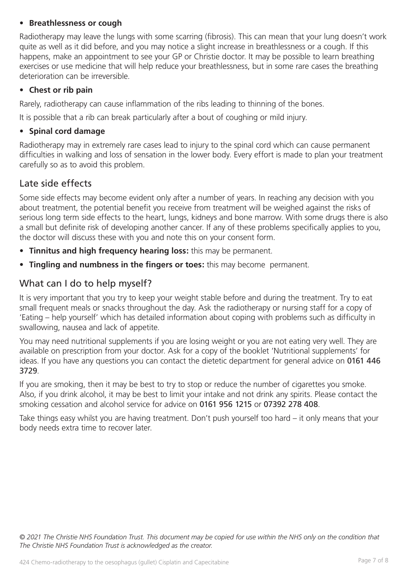#### • **Breathlessness or cough**

Radiotherapy may leave the lungs with some scarring (fibrosis). This can mean that your lung doesn't work quite as well as it did before, and you may notice a slight increase in breathlessness or a cough. If this happens, make an appointment to see your GP or Christie doctor. It may be possible to learn breathing exercises or use medicine that will help reduce your breathlessness, but in some rare cases the breathing deterioration can be irreversible.

#### • **Chest or rib pain**

Rarely, radiotherapy can cause inflammation of the ribs leading to thinning of the bones.

It is possible that a rib can break particularly after a bout of coughing or mild injury.

#### • **Spinal cord damage**

Radiotherapy may in extremely rare cases lead to injury to the spinal cord which can cause permanent difficulties in walking and loss of sensation in the lower body. Every effort is made to plan your treatment carefully so as to avoid this problem.

### Late side effects

Some side effects may become evident only after a number of years. In reaching any decision with you about treatment, the potential benefit you receive from treatment will be weighed against the risks of serious long term side effects to the heart, lungs, kidneys and bone marrow. With some drugs there is also a small but definite risk of developing another cancer. If any of these problems specifically applies to you, the doctor will discuss these with you and note this on your consent form.

- **Tinnitus and high frequency hearing loss:** this may be permanent.
- **Tingling and numbness in the fingers or toes:** this may become permanent.

### What can I do to help myself?

It is very important that you try to keep your weight stable before and during the treatment. Try to eat small frequent meals or snacks throughout the day. Ask the radiotherapy or nursing staff for a copy of 'Eating – help yourself' which has detailed information about coping with problems such as difficulty in swallowing, nausea and lack of appetite.

You may need nutritional supplements if you are losing weight or you are not eating very well. They are available on prescription from your doctor. Ask for a copy of the booklet 'Nutritional supplements' for ideas. If you have any questions you can contact the dietetic department for general advice on 0161 446 3729.

If you are smoking, then it may be best to try to stop or reduce the number of cigarettes you smoke. Also, if you drink alcohol, it may be best to limit your intake and not drink any spirits. Please contact the smoking cessation and alcohol service for advice on 0161 956 1215 or 07392 278 408.

Take things easy whilst you are having treatment. Don't push yourself too hard – it only means that your body needs extra time to recover later.

*© 2021 The Christie NHS Foundation Trust. This document may be copied for use within the NHS only on the condition that The Christie NHS Foundation Trust is acknowledged as the creator.*